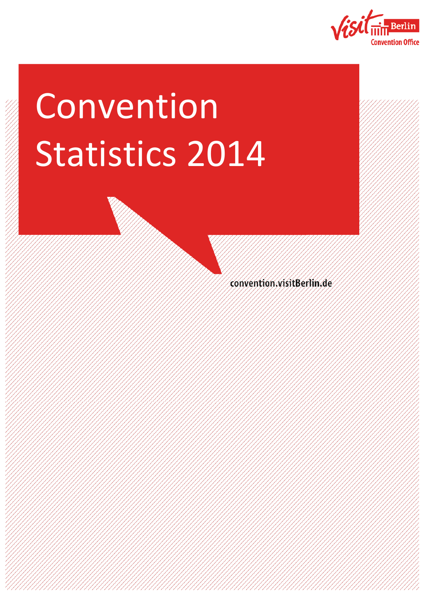

# Convention Statistics 2014

convention visitBerlin.de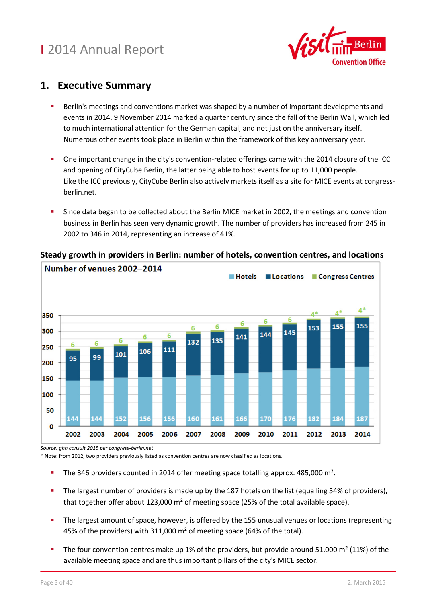

#### **1. Executive Summary**

- Berlin's meetings and conventions market was shaped by a number of important developments and events in 2014. 9 November 2014 marked a quarter century since the fall of the Berlin Wall, which led to much international attention for the German capital, and not just on the anniversary itself. Numerous other events took place in Berlin within the framework of this key anniversary year.
- One important change in the city's convention-related offerings came with the 2014 closure of the ICC and opening of CityCube Berlin, the latter being able to host events for up to 11,000 people. Like the ICC previously, CityCube Berlin also actively markets itself as a site for MICE events at congressberlin.net.
- Since data began to be collected about the Berlin MICE market in 2002, the meetings and convention business in Berlin has seen very dynamic growth. The number of providers has increased from 245 in 2002 to 346 in 2014, representing an increase of 41%.



#### **Steady growth in providers in Berlin: number of hotels, convention centres, and locations**

*Source: ghh consult 2015 per congress-berlin.net* 

\* Note: from 2012, two providers previously listed as convention centres are now classified as locations.

- The 346 providers counted in 2014 offer meeting space totalling approx. 485,000 m².
- The largest number of providers is made up by the 187 hotels on the list (equalling 54% of providers), that together offer about 123,000 m² of meeting space (25% of the total available space).
- **The largest amount of space, however, is offered by the 155 unusual venues or locations (representing 4)** 45% of the providers) with 311,000 m² of meeting space (64% of the total).
- The four convention centres make up 1% of the providers, but provide around 51,000 m² (11%) of the available meeting space and are thus important pillars of the city's MICE sector.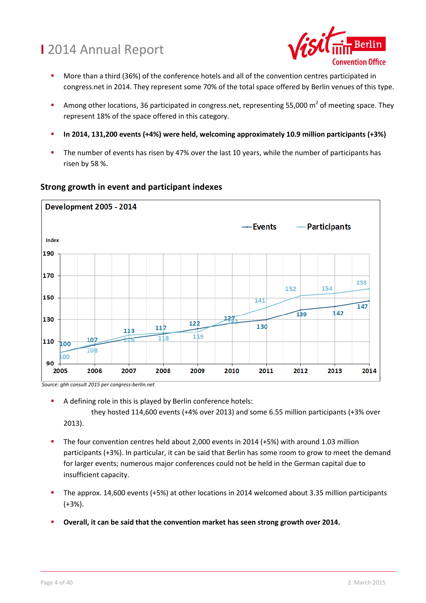

- More than a third (36%) of the conference hotels and all of the convention centres participated in congress.net in 2014. They represent some 70% of the total space offered by Berlin venues of this type.
- Among other locations, 36 participated in congress.net, representing 55,000  $m^2$  of meeting space. They represent 18% of the space offered in this category.
- **In 2014, 131,200 events (+4%) were held, welcoming approximately 10.9 million participants (+3%)**
- The number of events has risen by 47% over the last 10 years, while the number of participants has risen by 58 %.



#### **Strong growth in event and participant indexes**

 *Source: ghh consult 2015 per congress-berlin.net* 

A defining role in this is played by Berlin conference hotels:

 they hosted 114,600 events (+4% over 2013) and some 6.55 million participants (+3% over 2013).

- The four convention centres held about 2,000 events in 2014 (+5%) with around 1.03 million participants (+3%). In particular, it can be said that Berlin has some room to grow to meet the demand for larger events; numerous major conferences could not be held in the German capital due to insufficient capacity.
- The approx. 14,600 events (+5%) at other locations in 2014 welcomed about 3.35 million participants (+3%).
- **Overall, it can be said that the convention market has seen strong growth over 2014.**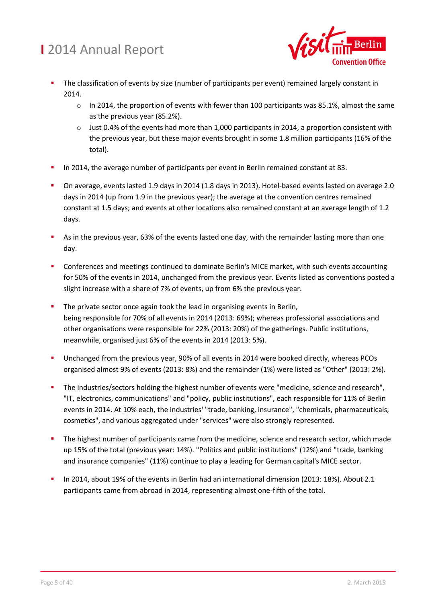

- The classification of events by size (number of participants per event) remained largely constant in 2014.
	- $\circ$  In 2014, the proportion of events with fewer than 100 participants was 85.1%, almost the same as the previous year (85.2%).
	- o Just 0.4% of the events had more than 1,000 participants in 2014, a proportion consistent with the previous year, but these major events brought in some 1.8 million participants (16% of the total).
- In 2014, the average number of participants per event in Berlin remained constant at 83.
- On average, events lasted 1.9 days in 2014 (1.8 days in 2013). Hotel-based events lasted on average 2.0 days in 2014 (up from 1.9 in the previous year); the average at the convention centres remained constant at 1.5 days; and events at other locations also remained constant at an average length of 1.2 days.
- As in the previous year, 63% of the events lasted one day, with the remainder lasting more than one day.
- Conferences and meetings continued to dominate Berlin's MICE market, with such events accounting for 50% of the events in 2014, unchanged from the previous year. Events listed as conventions posted a slight increase with a share of 7% of events, up from 6% the previous year.
- The private sector once again took the lead in organising events in Berlin, being responsible for 70% of all events in 2014 (2013: 69%); whereas professional associations and other organisations were responsible for 22% (2013: 20%) of the gatherings. Public institutions, meanwhile, organised just 6% of the events in 2014 (2013: 5%).
- **Unchanged from the previous year, 90% of all events in 2014 were booked directly, whereas PCOs** organised almost 9% of events (2013: 8%) and the remainder (1%) were listed as "Other" (2013: 2%).
- The industries/sectors holding the highest number of events were "medicine, science and research", "IT, electronics, communications" and "policy, public institutions", each responsible for 11% of Berlin events in 2014. At 10% each, the industries' "trade, banking, insurance", "chemicals, pharmaceuticals, cosmetics", and various aggregated under "services" were also strongly represented.
- The highest number of participants came from the medicine, science and research sector, which made up 15% of the total (previous year: 14%). "Politics and public institutions" (12%) and "trade, banking and insurance companies" (11%) continue to play a leading for German capital's MICE sector.
- In 2014, about 19% of the events in Berlin had an international dimension (2013: 18%). About 2.1 participants came from abroad in 2014, representing almost one-fifth of the total.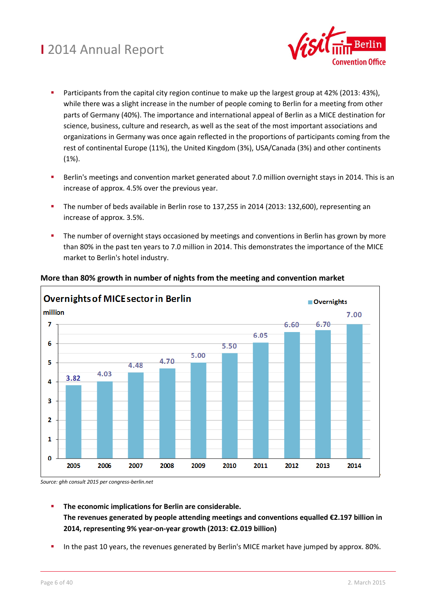

- Participants from the capital city region continue to make up the largest group at 42% (2013: 43%), while there was a slight increase in the number of people coming to Berlin for a meeting from other parts of Germany (40%). The importance and international appeal of Berlin as a MICE destination for science, business, culture and research, as well as the seat of the most important associations and organizations in Germany was once again reflected in the proportions of participants coming from the rest of continental Europe (11%), the United Kingdom (3%), USA/Canada (3%) and other continents (1%).
- Berlin's meetings and convention market generated about 7.0 million overnight stays in 2014. This is an increase of approx. 4.5% over the previous year.
- The number of beds available in Berlin rose to 137,255 in 2014 (2013: 132,600), representing an increase of approx. 3.5%.
- The number of overnight stays occasioned by meetings and conventions in Berlin has grown by more than 80% in the past ten years to 7.0 million in 2014. This demonstrates the importance of the MICE market to Berlin's hotel industry.



#### **More than 80% growth in number of nights from the meeting and convention market**

*Source: ghh consult 2015 per congress-berlin.net* 

- **The economic implications for Berlin are considerable. The revenues generated by people attending meetings and conventions equalled €2.197 billion in 2014, representing 9% year-on-year growth (2013: €2.019 billion)**
- In the past 10 years, the revenues generated by Berlin's MICE market have jumped by approx. 80%.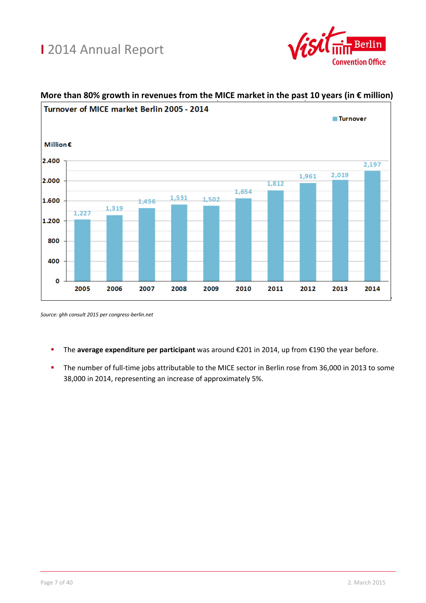



#### **More than 80% growth in revenues from the MICE market in the past 10 years (in € million)**

*Source: ghh consult 2015 per congress-berlin.net* 

- The **average expenditure per participant** was around €201 in 2014, up from €190 the year before.
- The number of full-time jobs attributable to the MICE sector in Berlin rose from 36,000 in 2013 to some 38,000 in 2014, representing an increase of approximately 5%.